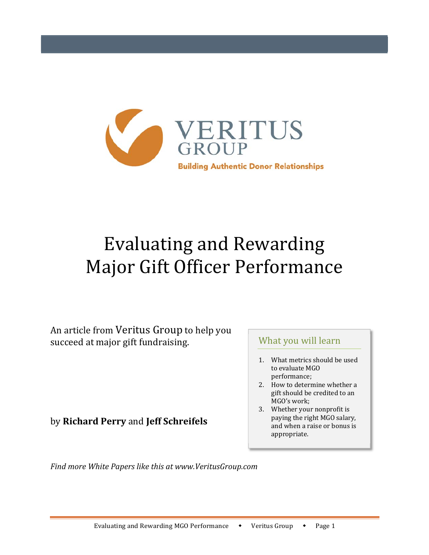

# Evaluating and Rewarding Major Gift Officer Performance

An article from Veritus Group to help you succeed at major gift fundraising.

by **Richard Perry** and **Jeff Schreifels**

# What you will learn

- 1. What metrics should be used to evaluate MGO performance;
- 2. How to determine whether a gift should be credited to an MGO's work;
- 3. Whether your nonprofit is paying the right MGO salary, and when a raise or bonus is appropriate.

*Find more White Papers like this at www.VeritusGroup.com*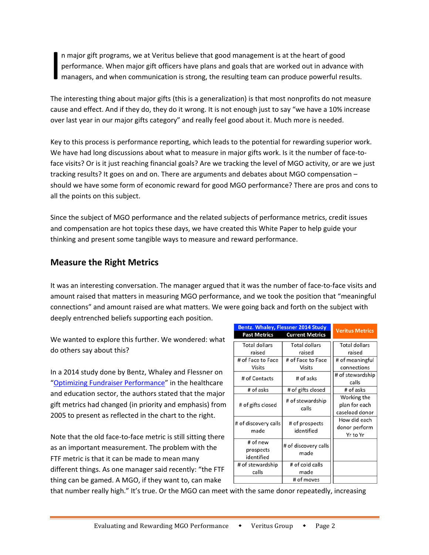n major gift programs, we at Veritus believe that good management is at the heart of good performance. When major gift officers have plans and goals that are worked out in advance with managers, and when communication is strong, the resulting team can produce powerful results.  $\left| \begin{array}{c} n \text{ } n \\ \text{per} \\ \text{ma} \end{array} \right|$ 

The interesting thing about major gifts (this is a generalization) is that most nonprofits do not measure cause and effect. And if they do, they do it wrong. It is not enough just to say "we have a 10% increase over last year in our major gifts category" and really feel good about it. Much more is needed.

Key to this process is performance reporting, which leads to the potential for rewarding superior work. We have had long discussions about what to measure in major gifts work. Is it the number of face-toface visits? Or is it just reaching financial goals? Are we tracking the level of MGO activity, or are we just tracking results? It goes on and on. There are arguments and debates about MGO compensation – should we have some form of economic reward for good MGO performance? There are pros and cons to all the points on this subject.

Since the subject of MGO performance and the related subjects of performance metrics, credit issues and compensation are hot topics these days, we have created this White Paper to help guide your thinking and present some tangible ways to measure and reward performance.

### **Measure the Right Metrics**

It was an interesting conversation. The manager argued that it was the number of face-to-face visits and amount raised that matters in measuring MGO performance, and we took the position that "meaningful connections" and amount raised are what matters. We were going back and forth on the subject with deeply entrenched beliefs supporting each position.

We wanted to explore this further. We wondered: what do others say about this?

In a 2014 study done by Bentz, Whaley and Flessner on "Optimizing Fundraiser Performance" in the healthcare and education sector, the authors stated that the major gift metrics had changed (in priority and emphasis) from 2005 to present as reflected in the chart to the right.

Note that the old face‐to‐face metric is still sitting there as an important measurement. The problem with the FTF metric is that it can be made to mean many different things. As one manager said recently: "the FTF thing can be gamed. A MGO, if they want to, can make

| <b>Bentz. Whaley, Flessner 2014 Study</b> |                                    |                                                |
|-------------------------------------------|------------------------------------|------------------------------------------------|
| <b>Past Metrics</b>                       | <b>Current Metrics</b>             | <b>Veritus Metrics</b>                         |
| <b>Total dollars</b><br>raised            | <b>Total dollars</b><br>raised     | <b>Total dollars</b><br>raised                 |
| # of Face to Face<br><b>Visits</b>        | # of Face to Face<br><b>Visits</b> | # of meaningful<br>connections                 |
| # of Contacts                             | # of asks                          | # of stewardship<br>calls                      |
| # of asks                                 | # of gifts closed                  | # of asks                                      |
| # of gifts closed                         | # of stewardship<br>calls          | Working the<br>plan for each<br>caseload donor |
| # of discovery calls<br>made              | # of prospects<br>identified       | How did each<br>donor perform<br>Yr to Yr      |
| # of new<br>prospects<br>identified       | # of discovery calls<br>made       |                                                |
| # of stewardship<br>calls                 | # of cold calls<br>made            |                                                |
|                                           | # of moves                         |                                                |

that number really high." It's true. Or the MGO can meet with the same donor repeatedly, increasing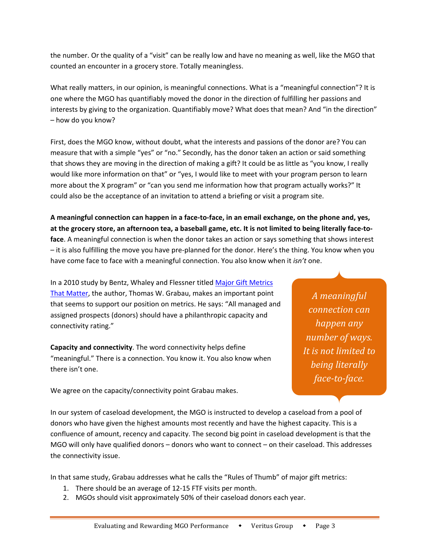the number. Or the quality of a "visit" can be really low and have no meaning as well, like the MGO that counted an encounter in a grocery store. Totally meaningless.

What really matters, in our opinion, is meaningful connections. What is a "meaningful connection"? It is one where the MGO has quantifiably moved the donor in the direction of fulfilling her passions and interests by giving to the organization. Quantifiably move? What does that mean? And "in the direction" – how do you know?

First, does the MGO know, without doubt, what the interests and passions of the donor are? You can measure that with a simple "yes" or "no." Secondly, has the donor taken an action or said something that shows they are moving in the direction of making a gift? It could be as little as "you know, I really would like more information on that" or "yes, I would like to meet with your program person to learn more about the X program" or "can you send me information how that program actually works?" It could also be the acceptance of an invitation to attend a briefing or visit a program site.

**A meaningful connection can happen in a face‐to‐face, in an email exchange, on the phone and, yes, at the grocery store, an afternoon tea, a baseball game, etc. It is not limited to being literally face‐to‐ face**. A meaningful connection is when the donor takes an action or says something that shows interest – it is also fulfilling the move you have pre‐planned for the donor. Here's the thing. You know when you have come face to face with a meaningful connection. You also know when it *isn't* one.

In a 2010 study by Bentz, Whaley and Flessner titled Major Gift Metrics That Matter, the author, Thomas W. Grabau, makes an important point that seems to support our position on metrics. He says: "All managed and assigned prospects (donors) should have a philanthropic capacity and connectivity rating."

**Capacity and connectivity**. The word connectivity helps define "meaningful." There is a connection. You know it. You also know when there isn't one.

We agree on the capacity/connectivity point Grabau makes.

*A meaningful connection can happen any number of ways. It is not limited to being literally face‐to‐face.*

In our system of caseload development, the MGO is instructed to develop a caseload from a pool of donors who have given the highest amounts most recently and have the highest capacity. This is a confluence of amount, recency and capacity. The second big point in caseload development is that the MGO will only have qualified donors – donors who want to connect – on their caseload. This addresses the connectivity issue.

In that same study, Grabau addresses what he calls the "Rules of Thumb" of major gift metrics:

- 1. There should be an average of 12‐15 FTF visits per month.
- 2. MGOs should visit approximately 50% of their caseload donors each year.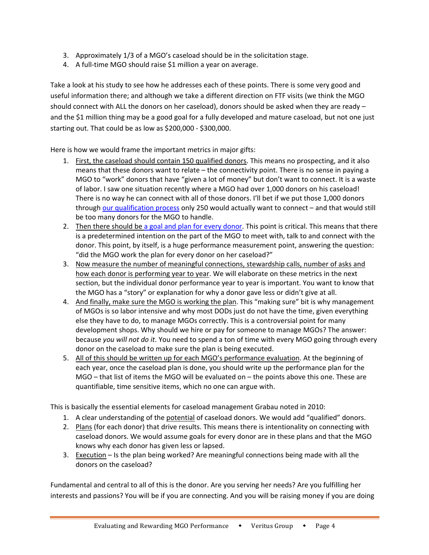- 3. Approximately 1/3 of a MGO's caseload should be in the solicitation stage.
- 4. A full-time MGO should raise \$1 million a year on average.

Take a look at his study to see how he addresses each of these points. There is some very good and useful information there; and although we take a different direction on FTF visits (we think the MGO should connect with ALL the donors on her caseload), donors should be asked when they are ready – and the \$1 million thing may be a good goal for a fully developed and mature caseload, but not one just starting out. That could be as low as \$200,000 ‐ \$300,000.

Here is how we would frame the important metrics in major gifts:

- 1. First, the caseload should contain 150 qualified donors. This means no prospecting, and it also means that these donors want to relate – the connectivity point. There is no sense in paying a MGO to "work" donors that have "given a lot of money" but don't want to connect. It is a waste of labor. I saw one situation recently where a MGO had over 1,000 donors on his caseload! There is no way he can connect with all of those donors. I'll bet if we put those 1,000 donors through our qualification process only 250 would actually want to connect - and that would still be too many donors for the MGO to handle.
- 2. Then there should be a goal and plan for every donor. This point is critical. This means that there is a predetermined intention on the part of the MGO to meet with, talk to and connect with the donor. This point, by itself, is a huge performance measurement point, answering the question: "did the MGO work the plan for every donor on her caseload?"
- 3. Now measure the number of meaningful connections, stewardship calls, number of asks and how each donor is performing year to year. We will elaborate on these metrics in the next section, but the individual donor performance year to year is important. You want to know that the MGO has a "story" or explanation for why a donor gave less or didn't give at all.
- 4. And finally, make sure the MGO is working the plan. This "making sure" bit is why management of MGOs is so labor intensive and why most DODs just do not have the time, given everything else they have to do, to manage MGOs correctly. This is a controversial point for many development shops. Why should we hire or pay for someone to manage MGOs? The answer: because *you will not do it*. You need to spend a ton of time with every MGO going through every donor on the caseload to make sure the plan is being executed.
- 5. All of this should be written up for each MGO's performance evaluation. At the beginning of each year, once the caseload plan is done, you should write up the performance plan for the MGO – that list of items the MGO will be evaluated on – the points above this one. These are quantifiable, time sensitive items, which no one can argue with.

This is basically the essential elements for caseload management Grabau noted in 2010:

- 1. A clear understanding of the potential of caseload donors. We would add "qualified" donors.
- 2. Plans (for each donor) that drive results. This means there is intentionality on connecting with caseload donors. We would assume goals for every donor are in these plans and that the MGO knows why each donor has given less or lapsed.
- 3. Execution Is the plan being worked? Are meaningful connections being made with all the donors on the caseload?

Fundamental and central to all of this is the donor. Are you serving her needs? Are you fulfilling her interests and passions? You will be if you are connecting. And you will be raising money if you are doing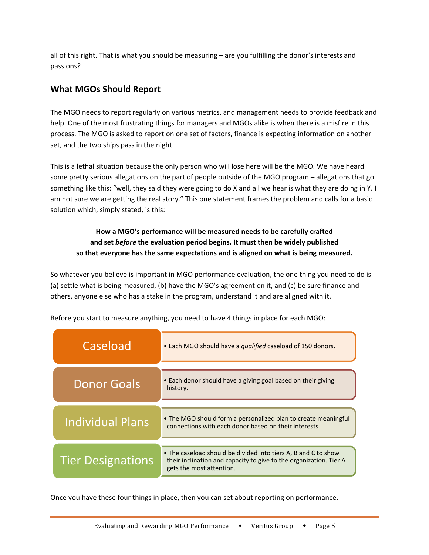all of this right. That is what you should be measuring – are you fulfilling the donor's interests and passions?

# **What MGOs Should Report**

The MGO needs to report regularly on various metrics, and management needs to provide feedback and help. One of the most frustrating things for managers and MGOs alike is when there is a misfire in this process. The MGO is asked to report on one set of factors, finance is expecting information on another set, and the two ships pass in the night.

This is a lethal situation because the only person who will lose here will be the MGO. We have heard some pretty serious allegations on the part of people outside of the MGO program – allegations that go something like this: "well, they said they were going to do X and all we hear is what they are doing in Y. I am not sure we are getting the real story." This one statement frames the problem and calls for a basic solution which, simply stated, is this:

### **How a MGO's performance will be measured needs to be carefully crafted and set** *before* **the evaluation period begins. It must then be widely published so that everyone has the same expectations and is aligned on what is being measured.**

So whatever you believe is important in MGO performance evaluation, the one thing you need to do is (a) settle what is being measured, (b) have the MGO's agreement on it, and (c) be sure finance and others, anyone else who has a stake in the program, understand it and are aligned with it.

| Caseload                 | • Each MGO should have a qualified caseload of 150 donors.                                                                                                       |  |
|--------------------------|------------------------------------------------------------------------------------------------------------------------------------------------------------------|--|
| <b>Donor Goals</b>       | • Each donor should have a giving goal based on their giving<br>history.                                                                                         |  |
| <b>Individual Plans</b>  | • The MGO should form a personalized plan to create meaningful<br>connections with each donor based on their interests                                           |  |
| <b>Tier Designations</b> | • The caseload should be divided into tiers A, B and C to show<br>their inclination and capacity to give to the organization. Tier A<br>gets the most attention. |  |

Before you start to measure anything, you need to have 4 things in place for each MGO:

Once you have these four things in place, then you can set about reporting on performance.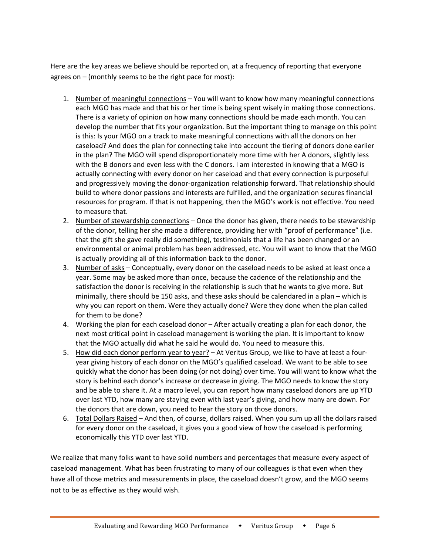Here are the key areas we believe should be reported on, at a frequency of reporting that everyone agrees on – (monthly seems to be the right pace for most):

- 1. Number of meaningful connections You will want to know how many meaningful connections each MGO has made and that his or her time is being spent wisely in making those connections. There is a variety of opinion on how many connections should be made each month. You can develop the number that fits your organization. But the important thing to manage on this point is this: Is your MGO on a track to make meaningful connections with all the donors on her caseload? And does the plan for connecting take into account the tiering of donors done earlier in the plan? The MGO will spend disproportionately more time with her A donors, slightly less with the B donors and even less with the C donors. I am interested in knowing that a MGO is actually connecting with every donor on her caseload and that every connection is purposeful and progressively moving the donor‐organization relationship forward. That relationship should build to where donor passions and interests are fulfilled, and the organization secures financial resources for program. If that is not happening, then the MGO's work is not effective. You need to measure that.
- 2. Number of stewardship connections Once the donor has given, there needs to be stewardship of the donor, telling her she made a difference, providing her with "proof of performance" (i.e. that the gift she gave really did something), testimonials that a life has been changed or an environmental or animal problem has been addressed, etc. You will want to know that the MGO is actually providing all of this information back to the donor.
- 3. Number of asks Conceptually, every donor on the caseload needs to be asked at least once a year. Some may be asked more than once, because the cadence of the relationship and the satisfaction the donor is receiving in the relationship is such that he wants to give more. But minimally, there should be 150 asks, and these asks should be calendared in a plan – which is why you can report on them. Were they actually done? Were they done when the plan called for them to be done?
- 4. Working the plan for each caseload donor After actually creating a plan for each donor, the next most critical point in caseload management is working the plan. It is important to know that the MGO actually did what he said he would do. You need to measure this.
- 5. How did each donor perform year to year? At Veritus Group, we like to have at least a four‐ year giving history of each donor on the MGO's qualified caseload. We want to be able to see quickly what the donor has been doing (or not doing) over time. You will want to know what the story is behind each donor's increase or decrease in giving. The MGO needs to know the story and be able to share it. At a macro level, you can report how many caseload donors are up YTD over last YTD, how many are staying even with last year's giving, and how many are down. For the donors that are down, you need to hear the story on those donors.
- 6. Total Dollars Raised And then, of course, dollars raised. When you sum up all the dollars raised for every donor on the caseload, it gives you a good view of how the caseload is performing economically this YTD over last YTD.

We realize that many folks want to have solid numbers and percentages that measure every aspect of caseload management. What has been frustrating to many of our colleagues is that even when they have all of those metrics and measurements in place, the caseload doesn't grow, and the MGO seems not to be as effective as they would wish.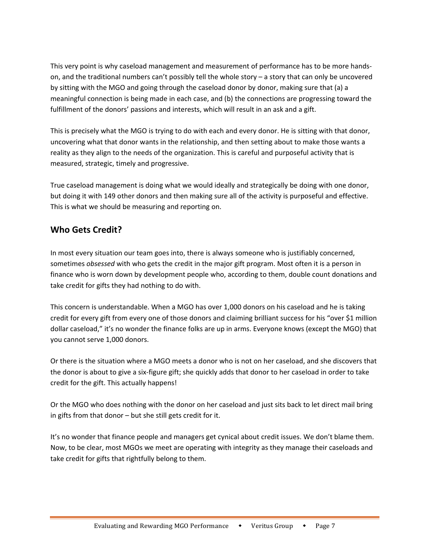This very point is why caseload management and measurement of performance has to be more hands‐ on, and the traditional numbers can't possibly tell the whole story – a story that can only be uncovered by sitting with the MGO and going through the caseload donor by donor, making sure that (a) a meaningful connection is being made in each case, and (b) the connections are progressing toward the fulfillment of the donors' passions and interests, which will result in an ask and a gift.

This is precisely what the MGO is trying to do with each and every donor. He is sitting with that donor, uncovering what that donor wants in the relationship, and then setting about to make those wants a reality as they align to the needs of the organization. This is careful and purposeful activity that is measured, strategic, timely and progressive.

True caseload management is doing what we would ideally and strategically be doing with one donor, but doing it with 149 other donors and then making sure all of the activity is purposeful and effective. This is what we should be measuring and reporting on.

# **Who Gets Credit?**

In most every situation our team goes into, there is always someone who is justifiably concerned, sometimes *obsessed* with who gets the credit in the major gift program. Most often it is a person in finance who is worn down by development people who, according to them, double count donations and take credit for gifts they had nothing to do with.

This concern is understandable. When a MGO has over 1,000 donors on his caseload and he is taking credit for every gift from every one of those donors and claiming brilliant success for his "over \$1 million dollar caseload," it's no wonder the finance folks are up in arms. Everyone knows (except the MGO) that you cannot serve 1,000 donors.

Or there is the situation where a MGO meets a donor who is not on her caseload, and she discovers that the donor is about to give a six‐figure gift; she quickly adds that donor to her caseload in order to take credit for the gift. This actually happens!

Or the MGO who does nothing with the donor on her caseload and just sits back to let direct mail bring in gifts from that donor – but she still gets credit for it.

It's no wonder that finance people and managers get cynical about credit issues. We don't blame them. Now, to be clear, most MGOs we meet are operating with integrity as they manage their caseloads and take credit for gifts that rightfully belong to them.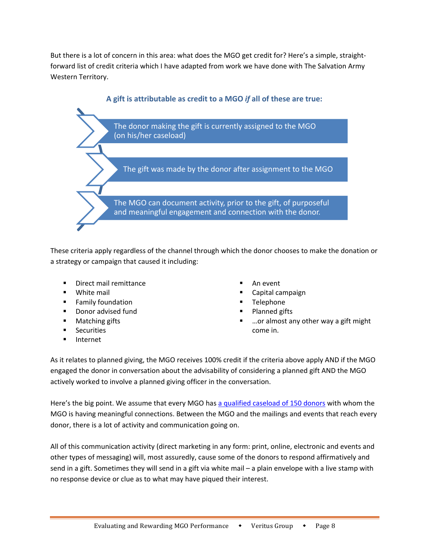But there is a lot of concern in this area: what does the MGO get credit for? Here's a simple, straight‐ forward list of credit criteria which I have adapted from work we have done with The Salvation Army Western Territory.



These criteria apply regardless of the channel through which the donor chooses to make the donation or a strategy or campaign that caused it including:

- **Direct mail remittance**
- **White mail**
- **Family foundation**
- **Donor advised fund**
- **Matching gifts**
- **Securities**
- **Internet**
- An event
- Capital campaign
- Telephone
- Planned gifts
- …or almost any other way a gift might come in.

As it relates to planned giving, the MGO receives 100% credit if the criteria above apply AND if the MGO engaged the donor in conversation about the advisability of considering a planned gift AND the MGO actively worked to involve a planned giving officer in the conversation.

Here's the big point. We assume that every MGO has a qualified caseload of 150 donors with whom the MGO is having meaningful connections. Between the MGO and the mailings and events that reach every donor, there is a lot of activity and communication going on.

All of this communication activity (direct marketing in any form: print, online, electronic and events and other types of messaging) will, most assuredly, cause some of the donors to respond affirmatively and send in a gift. Sometimes they will send in a gift via white mail – a plain envelope with a live stamp with no response device or clue as to what may have piqued their interest.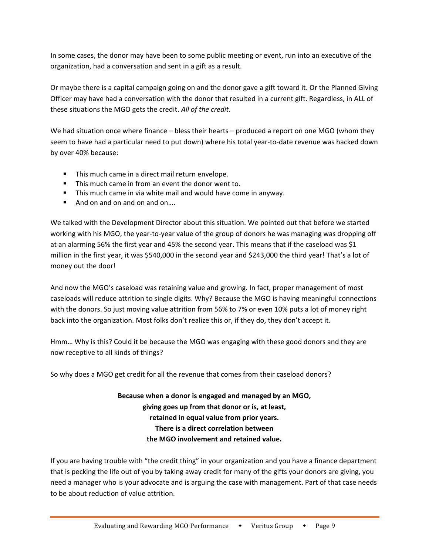In some cases, the donor may have been to some public meeting or event, run into an executive of the organization, had a conversation and sent in a gift as a result.

Or maybe there is a capital campaign going on and the donor gave a gift toward it. Or the Planned Giving Officer may have had a conversation with the donor that resulted in a current gift. Regardless, in ALL of these situations the MGO gets the credit. *All of the credit.* 

We had situation once where finance – bless their hearts – produced a report on one MGO (whom they seem to have had a particular need to put down) where his total year-to-date revenue was hacked down by over 40% because:

- This much came in a direct mail return envelope.
- This much came in from an event the donor went to.
- **This much came in via white mail and would have come in anyway.**
- And on and on and on and on...

We talked with the Development Director about this situation. We pointed out that before we started working with his MGO, the year-to-year value of the group of donors he was managing was dropping off at an alarming 56% the first year and 45% the second year. This means that if the caseload was \$1 million in the first year, it was \$540,000 in the second year and \$243,000 the third year! That's a lot of money out the door!

And now the MGO's caseload was retaining value and growing. In fact, proper management of most caseloads will reduce attrition to single digits. Why? Because the MGO is having meaningful connections with the donors. So just moving value attrition from 56% to 7% or even 10% puts a lot of money right back into the organization. Most folks don't realize this or, if they do, they don't accept it.

Hmm… Why is this? Could it be because the MGO was engaging with these good donors and they are now receptive to all kinds of things?

So why does a MGO get credit for all the revenue that comes from their caseload donors?

# **Because when a donor is engaged and managed by an MGO, giving goes up from that donor or is, at least, retained in equal value from prior years. There is a direct correlation between the MGO involvement and retained value.**

If you are having trouble with "the credit thing" in your organization and you have a finance department that is pecking the life out of you by taking away credit for many of the gifts your donors are giving, you need a manager who is your advocate and is arguing the case with management. Part of that case needs to be about reduction of value attrition.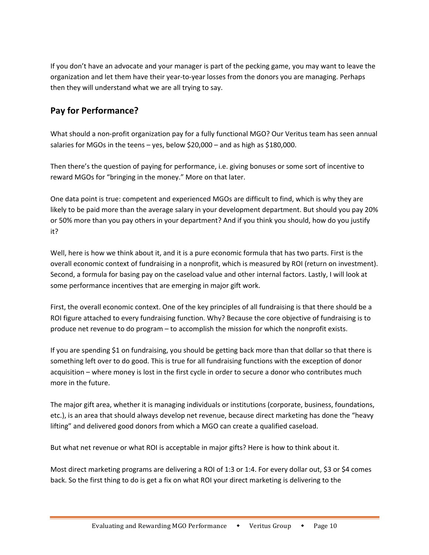If you don't have an advocate and your manager is part of the pecking game, you may want to leave the organization and let them have their year‐to‐year losses from the donors you are managing. Perhaps then they will understand what we are all trying to say.

# **Pay for Performance?**

What should a non‐profit organization pay for a fully functional MGO? Our Veritus team has seen annual salaries for MGOs in the teens – yes, below \$20,000 – and as high as \$180,000.

Then there's the question of paying for performance, i.e. giving bonuses or some sort of incentive to reward MGOs for "bringing in the money." More on that later.

One data point is true: competent and experienced MGOs are difficult to find, which is why they are likely to be paid more than the average salary in your development department. But should you pay 20% or 50% more than you pay others in your department? And if you think you should, how do you justify it?

Well, here is how we think about it, and it is a pure economic formula that has two parts. First is the overall economic context of fundraising in a nonprofit, which is measured by ROI (return on investment). Second, a formula for basing pay on the caseload value and other internal factors. Lastly, I will look at some performance incentives that are emerging in major gift work.

First, the overall economic context. One of the key principles of all fundraising is that there should be a ROI figure attached to every fundraising function. Why? Because the core objective of fundraising is to produce net revenue to do program – to accomplish the mission for which the nonprofit exists.

If you are spending \$1 on fundraising, you should be getting back more than that dollar so that there is something left over to do good. This is true for all fundraising functions with the exception of donor acquisition – where money is lost in the first cycle in order to secure a donor who contributes much more in the future.

The major gift area, whether it is managing individuals or institutions (corporate, business, foundations, etc.), is an area that should always develop net revenue, because direct marketing has done the "heavy lifting" and delivered good donors from which a MGO can create a qualified caseload.

But what net revenue or what ROI is acceptable in major gifts? Here is how to think about it.

Most direct marketing programs are delivering a ROI of 1:3 or 1:4. For every dollar out, \$3 or \$4 comes back. So the first thing to do is get a fix on what ROI your direct marketing is delivering to the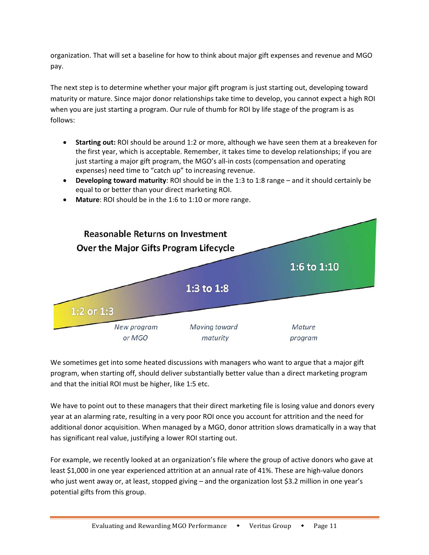organization. That will set a baseline for how to think about major gift expenses and revenue and MGO pay.

The next step is to determine whether your major gift program is just starting out, developing toward maturity or mature. Since major donor relationships take time to develop, you cannot expect a high ROI when you are just starting a program. Our rule of thumb for ROI by life stage of the program is as follows:

- **Starting out:** ROI should be around 1:2 or more, although we have seen them at a breakeven for the first year, which is acceptable. Remember, it takes time to develop relationships; if you are just starting a major gift program, the MGO's all-in costs (compensation and operating expenses) need time to "catch up" to increasing revenue.
- **Developing toward maturity**: ROI should be in the 1:3 to 1:8 range and it should certainly be equal to or better than your direct marketing ROI.



**Mature**: ROI should be in the 1:6 to 1:10 or more range.

We sometimes get into some heated discussions with managers who want to argue that a major gift program, when starting off, should deliver substantially better value than a direct marketing program and that the initial ROI must be higher, like 1:5 etc.

We have to point out to these managers that their direct marketing file is losing value and donors every year at an alarming rate, resulting in a very poor ROI once you account for attrition and the need for additional donor acquisition. When managed by a MGO, donor attrition slows dramatically in a way that has significant real value, justifying a lower ROI starting out.

For example, we recently looked at an organization's file where the group of active donors who gave at least \$1,000 in one year experienced attrition at an annual rate of 41%. These are high-value donors who just went away or, at least, stopped giving – and the organization lost \$3.2 million in one year's potential gifts from this group.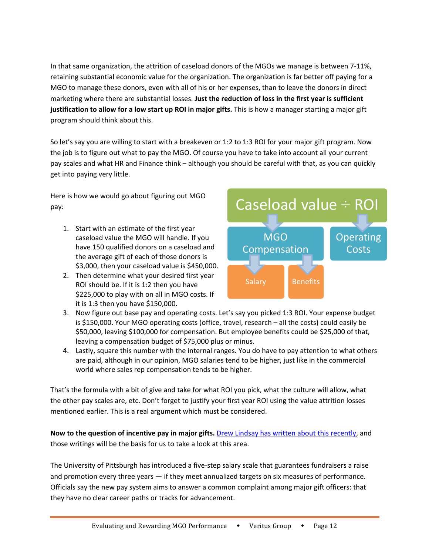In that same organization, the attrition of caseload donors of the MGOs we manage is between 7‐11%, retaining substantial economic value for the organization. The organization is far better off paying for a MGO to manage these donors, even with all of his or her expenses, than to leave the donors in direct marketing where there are substantial losses. **Just the reduction of loss in the first year is sufficient justification to allow for a low start up ROI in major gifts.** This is how a manager starting a major gift program should think about this.

So let's say you are willing to start with a breakeven or 1:2 to 1:3 ROI for your major gift program. Now the job is to figure out what to pay the MGO. Of course you have to take into account all your current pay scales and what HR and Finance think – although you should be careful with that, as you can quickly get into paying very little.

Here is how we would go about figuring out MGO pay:

- 1. Start with an estimate of the first year caseload value the MGO will handle. If you have 150 qualified donors on a caseload and the average gift of each of those donors is \$3,000, then your caseload value is \$450,000.
- 2. Then determine what your desired first year ROI should be. If it is 1:2 then you have \$225,000 to play with on all in MGO costs. If it is 1:3 then you have \$150,000.



- 3. Now figure out base pay and operating costs. Let's say you picked 1:3 ROI. Your expense budget is \$150,000. Your MGO operating costs (office, travel, research – all the costs) could easily be \$50,000, leaving \$100,000 for compensation. But employee benefits could be \$25,000 of that, leaving a compensation budget of \$75,000 plus or minus.
- 4. Lastly, square this number with the internal ranges. You do have to pay attention to what others are paid, although in our opinion, MGO salaries tend to be higher, just like in the commercial world where sales rep compensation tends to be higher.

That's the formula with a bit of give and take for what ROI you pick, what the culture will allow, what the other pay scales are, etc. Don't forget to justify your first year ROI using the value attrition losses mentioned earlier. This is a real argument which must be considered.

**Now to the question of incentive pay in major gifts.** Drew Lindsay has written about this recently, and those writings will be the basis for us to take a look at this area.

The University of Pittsburgh has introduced a five‐step salary scale that guarantees fundraisers a raise and promotion every three years — if they meet annualized targets on six measures of performance. Officials say the new pay system aims to answer a common complaint among major gift officers: that they have no clear career paths or tracks for advancement.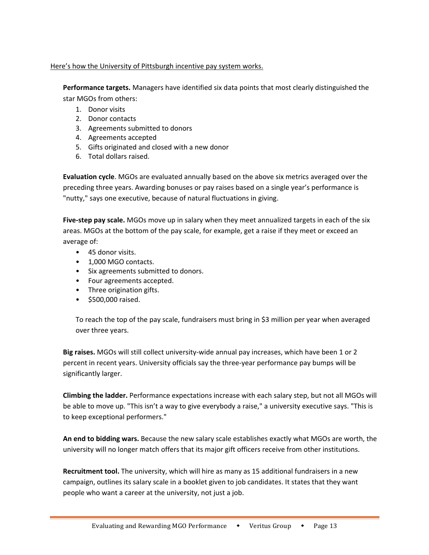#### Here's how the University of Pittsburgh incentive pay system works.

**Performance targets.** Managers have identified six data points that most clearly distinguished the star MGOs from others:

- 1. Donor visits
- 2. Donor contacts
- 3. Agreements submitted to donors
- 4. Agreements accepted
- 5. Gifts originated and closed with a new donor
- 6. Total dollars raised.

**Evaluation cycle**. MGOs are evaluated annually based on the above six metrics averaged over the preceding three years. Awarding bonuses or pay raises based on a single year's performance is "nutty," says one executive, because of natural fluctuations in giving.

**Five‐step pay scale.** MGOs move up in salary when they meet annualized targets in each of the six areas. MGOs at the bottom of the pay scale, for example, get a raise if they meet or exceed an average of:

- 45 donor visits.
- 1,000 MGO contacts.
- Six agreements submitted to donors.
- Four agreements accepted.
- Three origination gifts.
- \$500,000 raised.

To reach the top of the pay scale, fundraisers must bring in \$3 million per year when averaged over three years.

**Big raises.** MGOs will still collect university‐wide annual pay increases, which have been 1 or 2 percent in recent years. University officials say the three‐year performance pay bumps will be significantly larger.

**Climbing the ladder.** Performance expectations increase with each salary step, but not all MGOs will be able to move up. "This isn't a way to give everybody a raise," a university executive says. "This is to keep exceptional performers."

**An end to bidding wars.** Because the new salary scale establishes exactly what MGOs are worth, the university will no longer match offers that its major gift officers receive from other institutions.

**Recruitment tool.** The university, which will hire as many as 15 additional fundraisers in a new campaign, outlines its salary scale in a booklet given to job candidates. It states that they want people who want a career at the university, not just a job.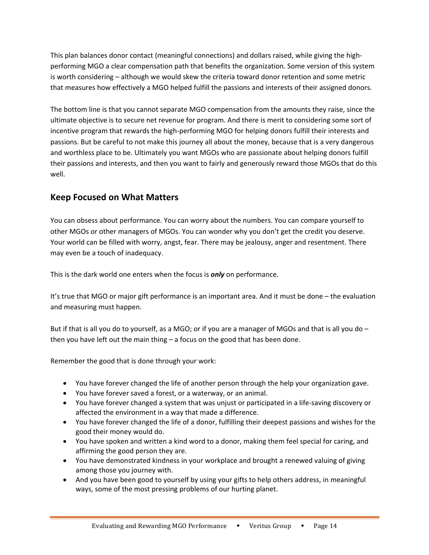This plan balances donor contact (meaningful connections) and dollars raised, while giving the high‐ performing MGO a clear compensation path that benefits the organization. Some version of this system is worth considering – although we would skew the criteria toward donor retention and some metric that measures how effectively a MGO helped fulfill the passions and interests of their assigned donors.

The bottom line is that you cannot separate MGO compensation from the amounts they raise, since the ultimate objective is to secure net revenue for program. And there is merit to considering some sort of incentive program that rewards the high‐performing MGO for helping donors fulfill their interests and passions. But be careful to not make this journey all about the money, because that is a very dangerous and worthless place to be. Ultimately you want MGOs who are passionate about helping donors fulfill their passions and interests, and then you want to fairly and generously reward those MGOs that do this well.

# **Keep Focused on What Matters**

You can obsess about performance. You can worry about the numbers. You can compare yourself to other MGOs or other managers of MGOs. You can wonder why you don't get the credit you deserve. Your world can be filled with worry, angst, fear. There may be jealousy, anger and resentment. There may even be a touch of inadequacy.

This is the dark world one enters when the focus is *only* on performance.

It's true that MGO or major gift performance is an important area. And it must be done – the evaluation and measuring must happen.

But if that is all you do to yourself, as a MGO; or if you are a manager of MGOs and that is all you do – then you have left out the main thing – a focus on the good that has been done.

Remember the good that is done through your work:

- You have forever changed the life of another person through the help your organization gave.
- You have forever saved a forest, or a waterway, or an animal.
- You have forever changed a system that was unjust or participated in a life‐saving discovery or affected the environment in a way that made a difference.
- You have forever changed the life of a donor, fulfilling their deepest passions and wishes for the good their money would do.
- You have spoken and written a kind word to a donor, making them feel special for caring, and affirming the good person they are.
- You have demonstrated kindness in your workplace and brought a renewed valuing of giving among those you journey with.
- And you have been good to yourself by using your gifts to help others address, in meaningful ways, some of the most pressing problems of our hurting planet.